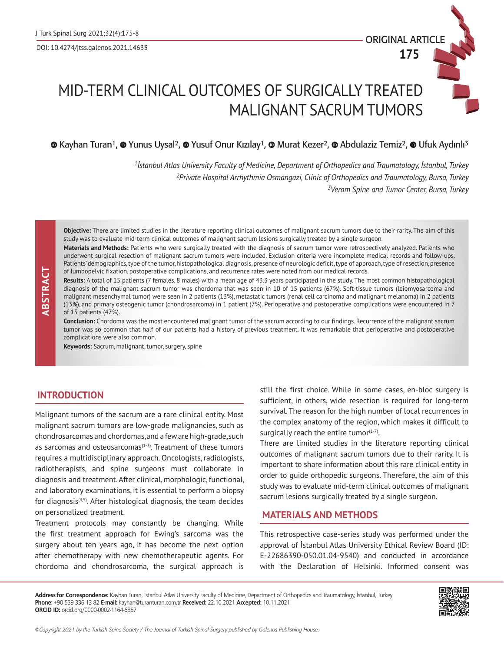ORIGINAL ARTICLE

**175**

# MID-TERM CLINICAL OUTCOMES OF SURGICALLY TREATED MALIGNANT SACRUM TUMORS

 $\bullet$ Kayhan Turan<sup>1</sup>,  $\bullet$  Yunus Uysal<sup>2</sup>,  $\bullet$  Yusuf Onur Kızılay<sup>1</sup>,  $\bullet$  Murat Kezer<sup>2</sup>,  $\bullet$  Abdulaziz Temiz<sup>2</sup>,  $\bullet$  Ufuk Aydınlı<sup>3</sup>

*<sup>1</sup>İstanbul Atlas University Faculty of Medicine, Department of Orthopedics and Traumatology, İstanbul, Turkey 2Private Hospital Arrhythmia Osmangazi, Clinic of Orthopedics and Traumatology, Bursa, Turkey 3Verom Spine and Tumor Center, Bursa, Turkey*

**Objective:** There are limited studies in the literature reporting clinical outcomes of malignant sacrum tumors due to their rarity. The aim of this study was to evaluate mid-term clinical outcomes of malignant sacrum lesions surgically treated by a single surgeon.

**Materials and Methods:** Patients who were surgically treated with the diagnosis of sacrum tumor were retrospectively analyzed. Patients who underwent surgical resection of malignant sacrum tumors were included. Exclusion criteria were incomplete medical records and follow-ups. Patients' demographics, type of the tumor, histopathological diagnosis, presence of neurologic deficit, type of approach, type of resection, presence of lumbopelvic fixation, postoperative complications, and recurrence rates were noted from our medical records.

**Results:** A total of 15 patients (7 females, 8 males) with a mean age of 43.3 years participated in the study. The most common histopathological diagnosis of the malignant sacrum tumor was chordoma that was seen in 10 of 15 patients (67%). Soft-tissue tumors (leiomyosarcoma and malignant mesenchymal tumor) were seen in 2 patients (13%), metastatic tumors (renal cell carcinoma and malignant melanoma) in 2 patients (13%), and primary osteogenic tumor (chondrosarcoma) in 1 patient (7%). Perioperative and postoperative complications were encountered in 7 of 15 patients (47%).

**Conclusion:** Chordoma was the most encountered malignant tumor of the sacrum according to our findings. Recurrence of the malignant sacrum tumor was so common that half of our patients had a history of previous treatment. It was remarkable that perioperative and postoperative complications were also common.

**Keywords:** Sacrum, malignant, tumor, surgery, spine

# **INTRODUCTION**

 **ABSTRACT**

ABSTRAC

Malignant tumors of the sacrum are a rare clinical entity. Most malignant sacrum tumors are low-grade malignancies, such as chondrosarcomas and chordomas, and a few are high-grade, such as sarcomas and osteosarcomas $(1-3)$ . Treatment of these tumors requires a multidisciplinary approach. Oncologists, radiologists, radiotherapists, and spine surgeons must collaborate in diagnosis and treatment. After clinical, morphologic, functional, and laboratory examinations, it is essential to perform a biopsy for diagnosis $(4,5)$ . After histological diagnosis, the team decides on personalized treatment.

Treatment protocols may constantly be changing. While the first treatment approach for Ewing's sarcoma was the surgery about ten years ago, it has become the next option after chemotherapy with new chemotherapeutic agents. For chordoma and chondrosarcoma, the surgical approach is

still the first choice. While in some cases, en-bloc surgery is sufficient, in others, wide resection is required for long-term survival. The reason for the high number of local recurrences in the complex anatomy of the region, which makes it difficult to surgically reach the entire tumor $(1-7)$ .

There are limited studies in the literature reporting clinical outcomes of malignant sacrum tumors due to their rarity. It is important to share information about this rare clinical entity in order to guide orthopedic surgeons. Therefore, the aim of this study was to evaluate mid-term clinical outcomes of malignant sacrum lesions surgically treated by a single surgeon.

## **MATERIALS AND METHODS**

This retrospective case-series study was performed under the approval of İstanbul Atlas University Ethical Review Board (ID: E-22686390-050.01.04-9540) and conducted in accordance with the Declaration of Helsinki. Informed consent was

**Address for Correspondence:** Kayhan Turan, İstanbul Atlas University Faculty of Medicine, Department of Orthopedics and Traumatology, İstanbul, Turkey **Phone:** +90 539 336 13 82 **E-mail:** kayhan@turanturan.com.tr **Received:** 22.10.2021 **Accepted:** 10.11.2021 **ORCID ID:** orcid.org/0000-0002-1164-6857

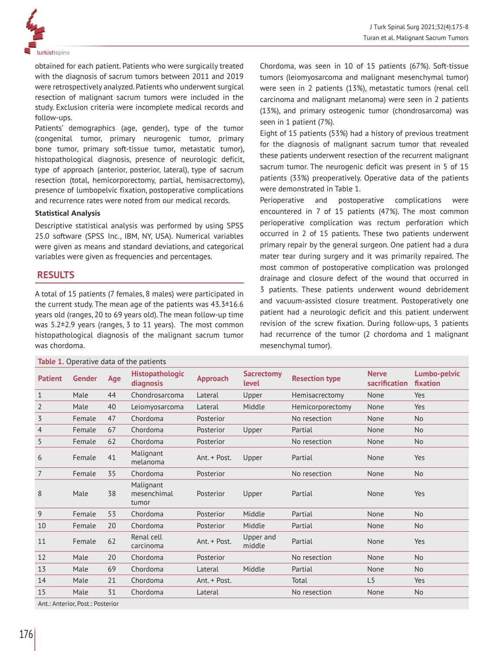

obtained for each patient. Patients who were surgically treated with the diagnosis of sacrum tumors between 2011 and 2019 were retrospectively analyzed. Patients who underwent surgical resection of malignant sacrum tumors were included in the study. Exclusion criteria were incomplete medical records and follow-ups.

Patients' demographics (age, gender), type of the tumor (congenital tumor, primary neurogenic tumor, primary bone tumor, primary soft-tissue tumor, metastatic tumor), histopathological diagnosis, presence of neurologic deficit, type of approach (anterior, posterior, lateral), type of sacrum resection (total, hemicorporectomy, partial, hemisacrectomy), presence of lumbopelvic fixation, postoperative complications and recurrence rates were noted from our medical records.

#### **Statistical Analysis**

Descriptive statistical analysis was performed by using SPSS 25.0 software (SPSS Inc., IBM, NY, USA). Numerical variables were given as means and standard deviations, and categorical variables were given as frequencies and percentages.

# **RESULTS**

A total of 15 patients (7 females, 8 males) were participated in the current study. The mean age of the patients was 43.3±16.6 years old (ranges, 20 to 69 years old). The mean follow-up time was 5.2±2.9 years (ranges, 3 to 11 years). The most common histopathological diagnosis of the malignant sacrum tumor was chordoma.

## **Table 1.** Operative data of the patients

Chordoma, was seen in 10 of 15 patients (67%). Soft-tissue tumors (leiomyosarcoma and malignant mesenchymal tumor) were seen in 2 patients (13%), metastatic tumors (renal cell carcinoma and malignant melanoma) were seen in 2 patients (13%), and primary osteogenic tumor (chondrosarcoma) was seen in 1 patient (7%).

Eight of 15 patients (53%) had a history of previous treatment for the diagnosis of malignant sacrum tumor that revealed these patients underwent resection of the recurrent malignant sacrum tumor. The neurogenic deficit was present in 5 of 15 patients (33%) preoperatively. Operative data of the patients were demonstrated in Table 1.

Perioperative and postoperative complications were encountered in 7 of 15 patients (47%). The most common perioperative complication was rectum perforation which occurred in 2 of 15 patients. These two patients underwent primary repair by the general surgeon. One patient had a dura mater tear during surgery and it was primarily repaired. The most common of postoperative complication was prolonged drainage and closure defect of the wound that occurred in 3 patients. These patients underwent wound debridement and vacuum-assisted closure treatment. Postoperatively one patient had a neurologic deficit and this patient underwent revision of the screw fixation. During follow-ups, 3 patients had recurrence of the tumor (2 chordoma and 1 malignant mesenchymal tumor).

| <b>Patient</b>                   | <b>Gender</b> | Age | <b>Histopathologic</b><br>diagnosis | <b>Approach</b> | <b>Sacrectomy</b><br><b>level</b> | <b>Resection type</b> | <b>Nerve</b><br>sacrification | Lumbo-pelvic<br>fixation |
|----------------------------------|---------------|-----|-------------------------------------|-----------------|-----------------------------------|-----------------------|-------------------------------|--------------------------|
| $\mathbf{1}$                     | Male          | 44  | Chondrosarcoma                      | Lateral         | Upper                             | Hemisacrectomy        | None                          | Yes                      |
| $\overline{2}$                   | Male          | 40  | Leiomyosarcoma                      | Lateral         | Middle                            | Hemicorporectomy      | None                          | Yes                      |
| 3                                | Female        | 47  | Chordoma                            | Posterior       |                                   | No resection          | None                          | <b>No</b>                |
| 4                                | Female        | 67  | Chordoma                            | Posterior       | Upper                             | Partial               | None                          | <b>No</b>                |
| 5                                | Female        | 62  | Chordoma                            | Posterior       |                                   | No resection          | None                          | <b>No</b>                |
| 6                                | Female        | 41  | Malignant<br>melanoma               | Ant. + Post.    | Upper                             | Partial               | None                          | Yes                      |
| $\overline{7}$                   | Female        | 35  | Chordoma                            | Posterior       |                                   | No resection          | None                          | <b>No</b>                |
| 8                                | Male          | 38  | Malignant<br>mesenchimal<br>tumor   | Posterior       | Upper                             | Partial               | None                          | Yes                      |
| 9                                | Female        | 53  | Chordoma                            | Posterior       | Middle                            | Partial               | None                          | <b>No</b>                |
| 10                               | Female        | 20  | Chordoma                            | Posterior       | Middle                            | Partial               | None                          | <b>No</b>                |
| 11                               | Female        | 62  | Renal cell<br>carcinoma             | Ant. + Post.    | Upper and<br>middle               | Partial               | None                          | Yes                      |
| 12                               | Male          | 20  | Chordoma                            | Posterior       |                                   | No resection          | None                          | <b>No</b>                |
| 13                               | Male          | 69  | Chordoma                            | Lateral         | Middle                            | Partial               | None                          | <b>No</b>                |
| 14                               | Male          | 21  | Chordoma                            | Ant. + Post.    |                                   | Total                 | L5                            | Yes                      |
| 15                               | Male          | 31  | Chordoma                            | Lateral         |                                   | No resection          | None                          | <b>No</b>                |
| Ant.: Anterior, Post.: Posterior |               |     |                                     |                 |                                   |                       |                               |                          |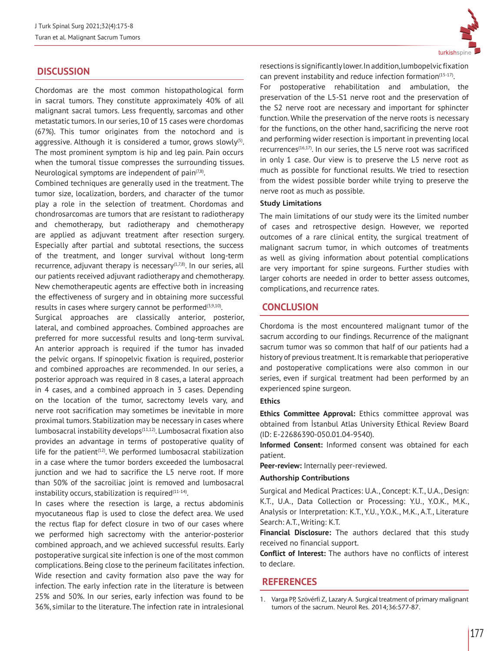# **DISCUSSION**

Chordomas are the most common histopathological form in sacral tumors. They constitute approximately 40% of all malignant sacral tumors. Less frequently, sarcomas and other metastatic tumors. In our series, 10 of 15 cases were chordomas (67%). This tumor originates from the notochord and is aggressive. Although it is considered a tumor, grows slowly $(5)$ . The most prominent symptom is hip and leg pain. Pain occurs when the tumoral tissue compresses the surrounding tissues. Neurological symptoms are independent of pain $(7,8)$ .

Combined techniques are generally used in the treatment. The tumor size, localization, borders, and character of the tumor play a role in the selection of treatment. Chordomas and chondrosarcomas are tumors that are resistant to radiotherapy and chemotherapy, but radiotherapy and chemotherapy are applied as adjuvant treatment after resection surgery. Especially after partial and subtotal resections, the success of the treatment, and longer survival without long-term recurrence, adjuvant therapy is necessary<sup>(1,7,8)</sup>. In our series, all our patients received adjuvant radiotherapy and chemotherapy. New chemotherapeutic agents are effective both in increasing the effectiveness of surgery and in obtaining more successful results in cases where surgery cannot be performed<sup>(3,9,10)</sup>.

Surgical approaches are classically anterior, posterior, lateral, and combined approaches. Combined approaches are preferred for more successful results and long-term survival. An anterior approach is required if the tumor has invaded the pelvic organs. If spinopelvic fixation is required, posterior and combined approaches are recommended. In our series, a posterior approach was required in 8 cases, a lateral approach in 4 cases, and a combined approach in 3 cases. Depending on the location of the tumor, sacrectomy levels vary, and nerve root sacrification may sometimes be inevitable in more proximal tumors. Stabilization may be necessary in cases where lumbosacral instability develops $(11,12)$ . Lumbosacral fixation also provides an advantage in terms of postoperative quality of life for the patient $(12)$ . We performed lumbosacral stabilization in a case where the tumor borders exceeded the lumbosacral junction and we had to sacrifice the L5 nerve root. If more than 50% of the sacroiliac joint is removed and lumbosacral instability occurs, stabilization is required $(11-14)$ .

In cases where the resection is large, a rectus abdominis myocutaneous flap is used to close the defect area. We used the rectus flap for defect closure in two of our cases where we performed high sacrectomy with the anterior-posterior combined approach, and we achieved successful results. Early postoperative surgical site infection is one of the most common complications. Being close to the perineum facilitates infection. Wide resection and cavity formation also pave the way for infection. The early infection rate in the literature is between 25% and 50%. In our series, early infection was found to be 36%, similar to the literature. The infection rate in intralesional



resections is significantly lower. In addition, lumbopelvic fixation can prevent instability and reduce infection formation $(15-17)$ .

For postoperative rehabilitation and ambulation, the preservation of the L5-S1 nerve root and the preservation of the S2 nerve root are necessary and important for sphincter function. While the preservation of the nerve roots is necessary for the functions, on the other hand, sacrificing the nerve root and performing wider resection is important in preventing local recurrences<sup>(16,17)</sup>. In our series, the L5 nerve root was sacrificed in only 1 case. Our view is to preserve the L5 nerve root as much as possible for functional results. We tried to resection from the widest possible border while trying to preserve the nerve root as much as possible.

### **Study Limitations**

The main limitations of our study were its the limited number of cases and retrospective design. However, we reported outcomes of a rare clinical entity, the surgical treatment of malignant sacrum tumor, in which outcomes of treatments as well as giving information about potential complications are very important for spine surgeons. Further studies with larger cohorts are needed in order to better assess outcomes, complications, and recurrence rates.

## **CONCLUSION**

Chordoma is the most encountered malignant tumor of the sacrum according to our findings. Recurrence of the malignant sacrum tumor was so common that half of our patients had a history of previous treatment. It is remarkable that perioperative and postoperative complications were also common in our series, even if surgical treatment had been performed by an experienced spine surgeon.

#### **Ethics**

**Ethics Committee Approval:** Ethics committee approval was obtained from İstanbul Atlas University Ethical Review Board (ID: E-22686390-050.01.04-9540).

**Informed Consent:** Informed consent was obtained for each patient.

**Peer-review:** Internally peer-reviewed.

#### **Authorship Contributions**

Surgical and Medical Practices: U.A., Concept: K.T., U.A., Design: K.T., U.A., Data Collection or Processing: Y.U., Y.O.K., M.K., Analysis or Interpretation: K.T., Y.U., Y.O.K., M.K., A.T., Literature Search: A.T., Writing: K.T.

**Financial Disclosure:** The authors declared that this study received no financial support.

**Conflict of Interest:** The authors have no conflicts of interest to declare.

## **REFERENCES**

<sup>1.</sup> Varga PP, Szövérfi Z, Lazary A. Surgical treatment of primary malignant tumors of the sacrum. Neurol Res. 2014;36:577-87.